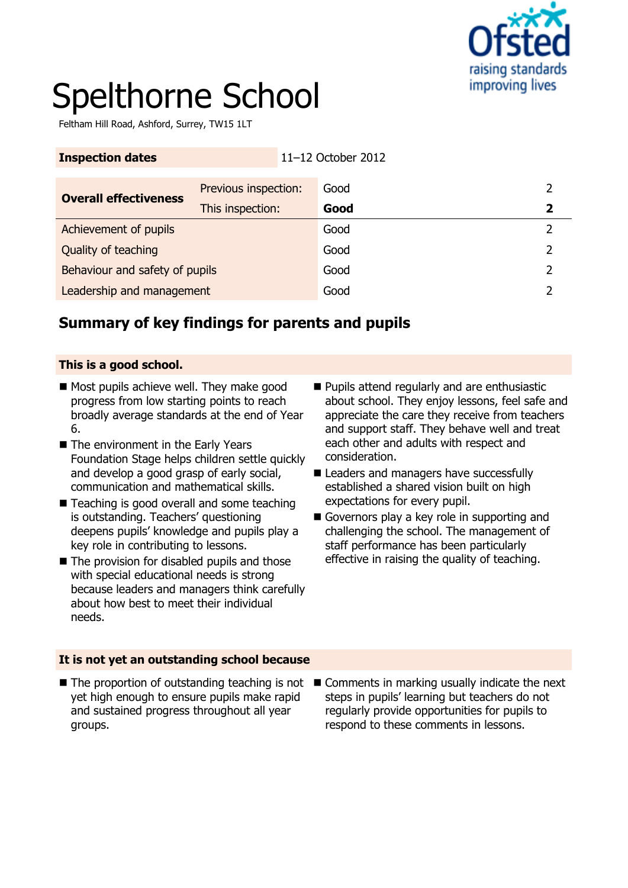

# Spelthorne School

Feltham Hill Road, Ashford, Surrey, TW15 1LT

| <b>Inspection dates</b>        |                      | 11-12 October 2012 |               |               |
|--------------------------------|----------------------|--------------------|---------------|---------------|
| <b>Overall effectiveness</b>   | Previous inspection: |                    | Good          |               |
|                                | This inspection:     |                    | Good          | 2             |
| Achievement of pupils          |                      | Good               | $\mathcal{P}$ |               |
| Quality of teaching            |                      | Good               | 2             |               |
| Behaviour and safety of pupils |                      |                    | Good          | $\mathcal{P}$ |
| Leadership and management      |                      |                    | Good          |               |

# **Summary of key findings for parents and pupils**

#### **This is a good school.**

- Most pupils achieve well. They make good progress from low starting points to reach broadly average standards at the end of Year 6.
- The environment in the Early Years Foundation Stage helps children settle quickly and develop a good grasp of early social, communication and mathematical skills.
- Teaching is good overall and some teaching is outstanding. Teachers' questioning deepens pupils' knowledge and pupils play a key role in contributing to lessons.
- The provision for disabled pupils and those with special educational needs is strong because leaders and managers think carefully about how best to meet their individual needs.
- **Pupils attend regularly and are enthusiastic** about school. They enjoy lessons, feel safe and appreciate the care they receive from teachers and support staff. They behave well and treat each other and adults with respect and consideration.
- Leaders and managers have successfully established a shared vision built on high expectations for every pupil.
- Governors play a key role in supporting and challenging the school. The management of staff performance has been particularly effective in raising the quality of teaching.

#### **It is not yet an outstanding school because**

- yet high enough to ensure pupils make rapid and sustained progress throughout all year groups.
- The proportion of outstanding teaching is not Comments in marking usually indicate the next steps in pupils' learning but teachers do not regularly provide opportunities for pupils to respond to these comments in lessons.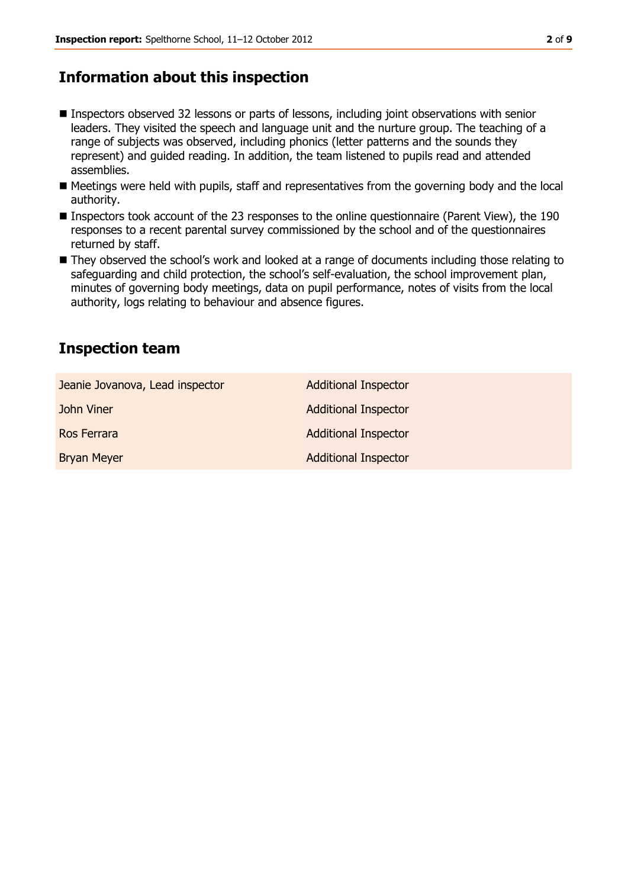# **Information about this inspection**

- Inspectors observed 32 lessons or parts of lessons, including joint observations with senior leaders. They visited the speech and language unit and the nurture group. The teaching of a range of subjects was observed, including phonics (letter patterns and the sounds they represent) and guided reading. In addition, the team listened to pupils read and attended assemblies.
- Meetings were held with pupils, staff and representatives from the governing body and the local authority.
- Inspectors took account of the 23 responses to the online questionnaire (Parent View), the 190 responses to a recent parental survey commissioned by the school and of the questionnaires returned by staff.
- They observed the school's work and looked at a range of documents including those relating to safeguarding and child protection, the school's self-evaluation, the school improvement plan, minutes of governing body meetings, data on pupil performance, notes of visits from the local authority, logs relating to behaviour and absence figures.

### **Inspection team**

| Jeanie Jovanova, Lead inspector | <b>Additional Inspector</b> |
|---------------------------------|-----------------------------|
| John Viner                      | <b>Additional Inspector</b> |
| Ros Ferrara                     | <b>Additional Inspector</b> |
| <b>Bryan Meyer</b>              | <b>Additional Inspector</b> |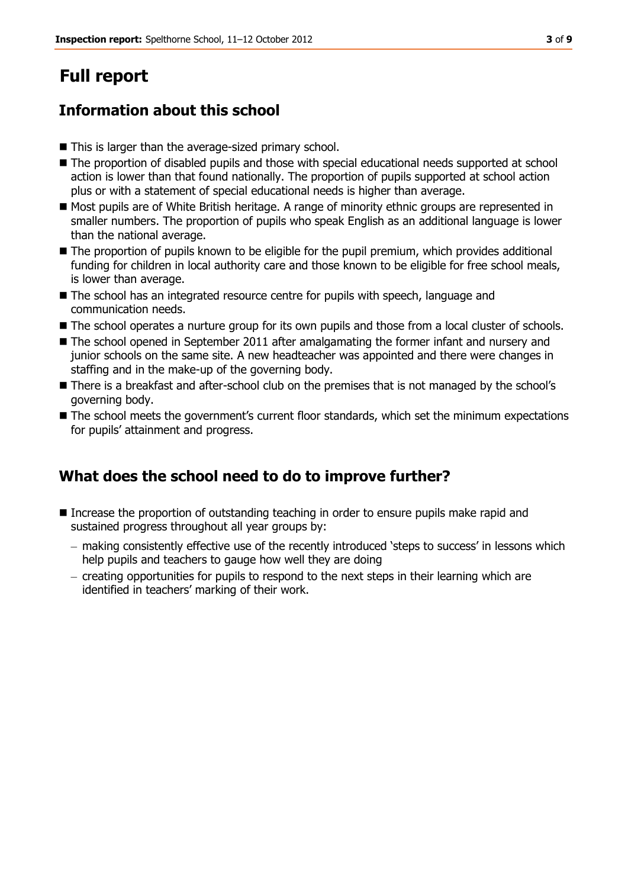# **Full report**

# **Information about this school**

- This is larger than the average-sized primary school.
- The proportion of disabled pupils and those with special educational needs supported at school action is lower than that found nationally. The proportion of pupils supported at school action plus or with a statement of special educational needs is higher than average.
- Most pupils are of White British heritage. A range of minority ethnic groups are represented in smaller numbers. The proportion of pupils who speak English as an additional language is lower than the national average.
- $\blacksquare$  The proportion of pupils known to be eligible for the pupil premium, which provides additional funding for children in local authority care and those known to be eligible for free school meals, is lower than average.
- The school has an integrated resource centre for pupils with speech, language and communication needs.
- $\blacksquare$  The school operates a nurture group for its own pupils and those from a local cluster of schools.
- The school opened in September 2011 after amalgamating the former infant and nursery and junior schools on the same site. A new headteacher was appointed and there were changes in staffing and in the make-up of the governing body.
- There is a breakfast and after-school club on the premises that is not managed by the school's governing body.
- The school meets the government's current floor standards, which set the minimum expectations for pupils' attainment and progress.

# **What does the school need to do to improve further?**

- Increase the proportion of outstanding teaching in order to ensure pupils make rapid and sustained progress throughout all year groups by:
	- making consistently effective use of the recently introduced 'steps to success' in lessons which help pupils and teachers to gauge how well they are doing
	- $-$  creating opportunities for pupils to respond to the next steps in their learning which are identified in teachers' marking of their work.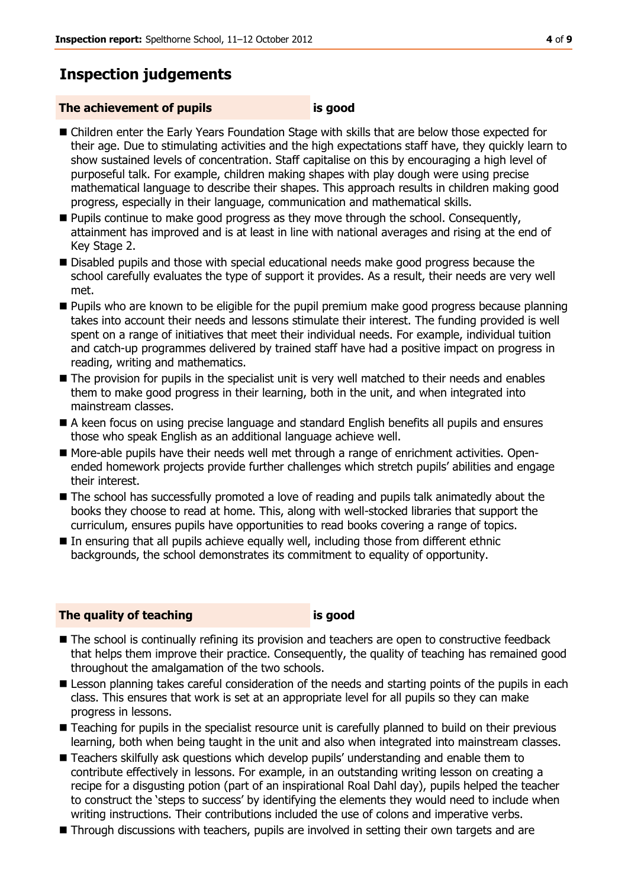# **Inspection judgements**

#### **The achievement of pupils is good**

- Children enter the Early Years Foundation Stage with skills that are below those expected for their age. Due to stimulating activities and the high expectations staff have, they quickly learn to show sustained levels of concentration. Staff capitalise on this by encouraging a high level of purposeful talk. For example, children making shapes with play dough were using precise mathematical language to describe their shapes. This approach results in children making good progress, especially in their language, communication and mathematical skills.
- **Pupils continue to make good progress as they move through the school. Consequently,** attainment has improved and is at least in line with national averages and rising at the end of Key Stage 2.
- **Disabled pupils and those with special educational needs make good progress because the** school carefully evaluates the type of support it provides. As a result, their needs are very well met.
- **Pupils who are known to be eligible for the pupil premium make good progress because planning** takes into account their needs and lessons stimulate their interest. The funding provided is well spent on a range of initiatives that meet their individual needs. For example, individual tuition and catch-up programmes delivered by trained staff have had a positive impact on progress in reading, writing and mathematics.
- $\blacksquare$  The provision for pupils in the specialist unit is very well matched to their needs and enables them to make good progress in their learning, both in the unit, and when integrated into mainstream classes.
- A keen focus on using precise language and standard English benefits all pupils and ensures those who speak English as an additional language achieve well.
- More-able pupils have their needs well met through a range of enrichment activities. Openended homework projects provide further challenges which stretch pupils' abilities and engage their interest.
- The school has successfully promoted a love of reading and pupils talk animatedly about the books they choose to read at home. This, along with well-stocked libraries that support the curriculum, ensures pupils have opportunities to read books covering a range of topics.
- In ensuring that all pupils achieve equally well, including those from different ethnic backgrounds, the school demonstrates its commitment to equality of opportunity.

#### **The quality of teaching is good**

- The school is continually refining its provision and teachers are open to constructive feedback that helps them improve their practice. Consequently, the quality of teaching has remained good throughout the amalgamation of the two schools.
- **E** Lesson planning takes careful consideration of the needs and starting points of the pupils in each class. This ensures that work is set at an appropriate level for all pupils so they can make progress in lessons.
- Teaching for pupils in the specialist resource unit is carefully planned to build on their previous learning, both when being taught in the unit and also when integrated into mainstream classes.
- **Teachers skilfully ask questions which develop pupils' understanding and enable them to** contribute effectively in lessons. For example, in an outstanding writing lesson on creating a recipe for a disgusting potion (part of an inspirational Roal Dahl day), pupils helped the teacher to construct the 'steps to success' by identifying the elements they would need to include when writing instructions. Their contributions included the use of colons and imperative verbs.
- Through discussions with teachers, pupils are involved in setting their own targets and are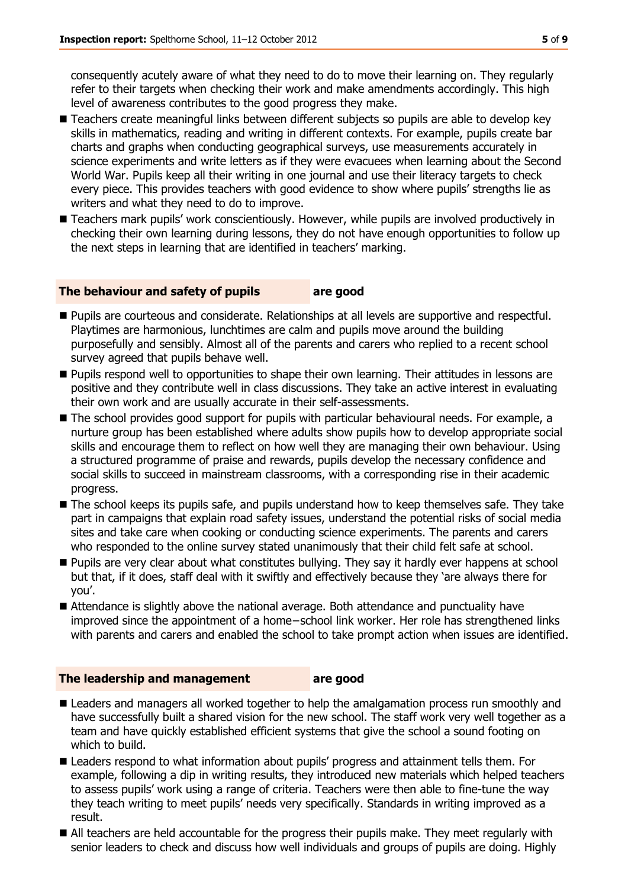consequently acutely aware of what they need to do to move their learning on. They regularly refer to their targets when checking their work and make amendments accordingly. This high level of awareness contributes to the good progress they make.

- Teachers create meaningful links between different subjects so pupils are able to develop key skills in mathematics, reading and writing in different contexts. For example, pupils create bar charts and graphs when conducting geographical surveys, use measurements accurately in science experiments and write letters as if they were evacuees when learning about the Second World War. Pupils keep all their writing in one journal and use their literacy targets to check every piece. This provides teachers with good evidence to show where pupils' strengths lie as writers and what they need to do to improve.
- Teachers mark pupils' work conscientiously. However, while pupils are involved productively in checking their own learning during lessons, they do not have enough opportunities to follow up the next steps in learning that are identified in teachers' marking.

#### **The behaviour and safety of pupils are good**

- **Pupils are courteous and considerate. Relationships at all levels are supportive and respectful.** Playtimes are harmonious, lunchtimes are calm and pupils move around the building purposefully and sensibly. Almost all of the parents and carers who replied to a recent school survey agreed that pupils behave well.
- **Pupils respond well to opportunities to shape their own learning. Their attitudes in lessons are** positive and they contribute well in class discussions. They take an active interest in evaluating their own work and are usually accurate in their self-assessments.
- The school provides good support for pupils with particular behavioural needs. For example, a nurture group has been established where adults show pupils how to develop appropriate social skills and encourage them to reflect on how well they are managing their own behaviour. Using a structured programme of praise and rewards, pupils develop the necessary confidence and social skills to succeed in mainstream classrooms, with a corresponding rise in their academic progress.
- $\blacksquare$  The school keeps its pupils safe, and pupils understand how to keep themselves safe. They take part in campaigns that explain road safety issues, understand the potential risks of social media sites and take care when cooking or conducting science experiments. The parents and carers who responded to the online survey stated unanimously that their child felt safe at school.
- **Pupils are very clear about what constitutes bullying. They say it hardly ever happens at school** but that, if it does, staff deal with it swiftly and effectively because they 'are always there for you'.
- Attendance is slightly above the national average. Both attendance and punctuality have improved since the appointment of a home−school link worker. Her role has strengthened links with parents and carers and enabled the school to take prompt action when issues are identified.

#### **The leadership and management are good**

- Leaders and managers all worked together to help the amalgamation process run smoothly and have successfully built a shared vision for the new school. The staff work very well together as a team and have quickly established efficient systems that give the school a sound footing on which to build.
- Leaders respond to what information about pupils' progress and attainment tells them. For example, following a dip in writing results, they introduced new materials which helped teachers to assess pupils' work using a range of criteria. Teachers were then able to fine-tune the way they teach writing to meet pupils' needs very specifically. Standards in writing improved as a result.
- All teachers are held accountable for the progress their pupils make. They meet regularly with senior leaders to check and discuss how well individuals and groups of pupils are doing. Highly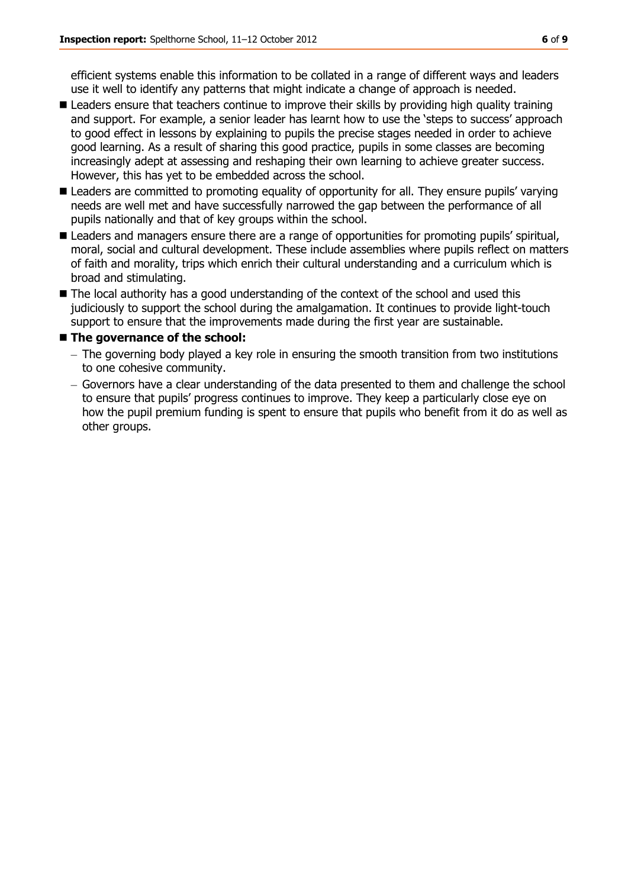efficient systems enable this information to be collated in a range of different ways and leaders use it well to identify any patterns that might indicate a change of approach is needed.

- **E** Leaders ensure that teachers continue to improve their skills by providing high quality training and support. For example, a senior leader has learnt how to use the 'steps to success' approach to good effect in lessons by explaining to pupils the precise stages needed in order to achieve good learning. As a result of sharing this good practice, pupils in some classes are becoming increasingly adept at assessing and reshaping their own learning to achieve greater success. However, this has yet to be embedded across the school.
- Leaders are committed to promoting equality of opportunity for all. They ensure pupils' varying needs are well met and have successfully narrowed the gap between the performance of all pupils nationally and that of key groups within the school.
- **E** Leaders and managers ensure there are a range of opportunities for promoting pupils' spiritual, moral, social and cultural development. These include assemblies where pupils reflect on matters of faith and morality, trips which enrich their cultural understanding and a curriculum which is broad and stimulating.
- The local authority has a good understanding of the context of the school and used this judiciously to support the school during the amalgamation. It continues to provide light-touch support to ensure that the improvements made during the first year are sustainable.

#### ■ The governance of the school:

- $-$  The governing body played a key role in ensuring the smooth transition from two institutions to one cohesive community.
- Governors have a clear understanding of the data presented to them and challenge the school to ensure that pupils' progress continues to improve. They keep a particularly close eye on how the pupil premium funding is spent to ensure that pupils who benefit from it do as well as other groups.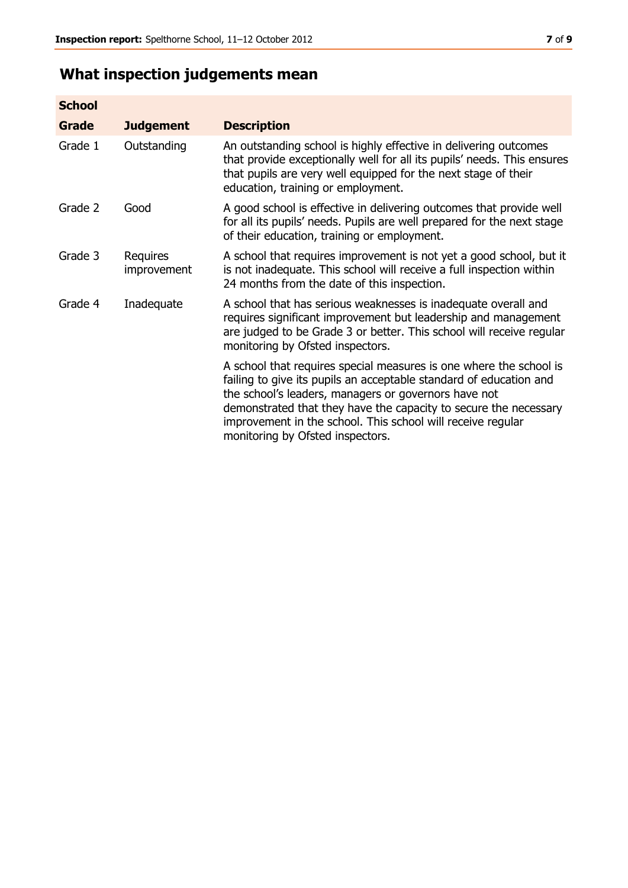# **What inspection judgements mean**

| <b>School</b> |                         |                                                                                                                                                                                                                                                                                                                                                                         |
|---------------|-------------------------|-------------------------------------------------------------------------------------------------------------------------------------------------------------------------------------------------------------------------------------------------------------------------------------------------------------------------------------------------------------------------|
| <b>Grade</b>  | <b>Judgement</b>        | <b>Description</b>                                                                                                                                                                                                                                                                                                                                                      |
| Grade 1       | Outstanding             | An outstanding school is highly effective in delivering outcomes<br>that provide exceptionally well for all its pupils' needs. This ensures<br>that pupils are very well equipped for the next stage of their<br>education, training or employment.                                                                                                                     |
| Grade 2       | Good                    | A good school is effective in delivering outcomes that provide well<br>for all its pupils' needs. Pupils are well prepared for the next stage<br>of their education, training or employment.                                                                                                                                                                            |
| Grade 3       | Requires<br>improvement | A school that requires improvement is not yet a good school, but it<br>is not inadequate. This school will receive a full inspection within<br>24 months from the date of this inspection.                                                                                                                                                                              |
| Grade 4       | Inadequate              | A school that has serious weaknesses is inadequate overall and<br>requires significant improvement but leadership and management<br>are judged to be Grade 3 or better. This school will receive regular<br>monitoring by Ofsted inspectors.                                                                                                                            |
|               |                         | A school that requires special measures is one where the school is<br>failing to give its pupils an acceptable standard of education and<br>the school's leaders, managers or governors have not<br>demonstrated that they have the capacity to secure the necessary<br>improvement in the school. This school will receive regular<br>monitoring by Ofsted inspectors. |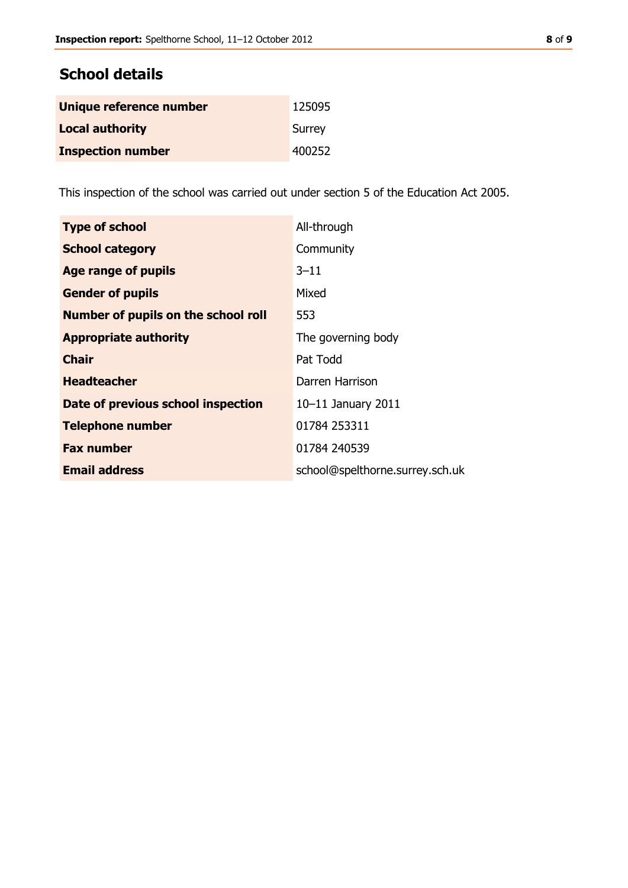#### **School details**

| Unique reference number  | 125095 |
|--------------------------|--------|
| <b>Local authority</b>   | Surrey |
| <b>Inspection number</b> | 400252 |

This inspection of the school was carried out under section 5 of the Education Act 2005.

| <b>Type of school</b>                      | All-through                     |
|--------------------------------------------|---------------------------------|
| <b>School category</b>                     | Community                       |
| <b>Age range of pupils</b>                 | $3 - 11$                        |
| <b>Gender of pupils</b>                    | Mixed                           |
| <b>Number of pupils on the school roll</b> | 553                             |
| <b>Appropriate authority</b>               | The governing body              |
| <b>Chair</b>                               | Pat Todd                        |
| <b>Headteacher</b>                         | Darren Harrison                 |
| Date of previous school inspection         | $10-11$ January 2011            |
| <b>Telephone number</b>                    | 01784 253311                    |
| <b>Fax number</b>                          | 01784 240539                    |
| <b>Email address</b>                       | school@spelthorne.surrey.sch.uk |